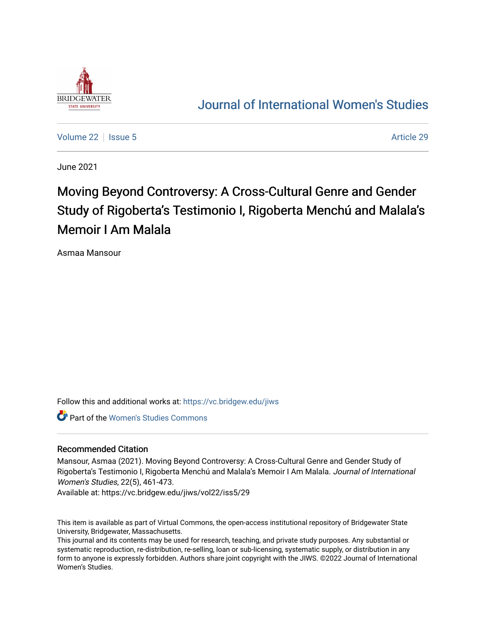

# [Journal of International Women's Studies](https://vc.bridgew.edu/jiws)

[Volume 22](https://vc.bridgew.edu/jiws/vol22) | [Issue 5](https://vc.bridgew.edu/jiws/vol22/iss5) Article 29

June 2021

# Moving Beyond Controversy: A Cross-Cultural Genre and Gender Study of Rigoberta's Testimonio I, Rigoberta Menchú and Malala's Memoir I Am Malala

Asmaa Mansour

Follow this and additional works at: [https://vc.bridgew.edu/jiws](https://vc.bridgew.edu/jiws?utm_source=vc.bridgew.edu%2Fjiws%2Fvol22%2Fiss5%2F29&utm_medium=PDF&utm_campaign=PDFCoverPages)

Part of the [Women's Studies Commons](http://network.bepress.com/hgg/discipline/561?utm_source=vc.bridgew.edu%2Fjiws%2Fvol22%2Fiss5%2F29&utm_medium=PDF&utm_campaign=PDFCoverPages) 

#### Recommended Citation

Mansour, Asmaa (2021). Moving Beyond Controversy: A Cross-Cultural Genre and Gender Study of Rigoberta's Testimonio I, Rigoberta Menchú and Malala's Memoir I Am Malala. Journal of International Women's Studies, 22(5), 461-473.

Available at: https://vc.bridgew.edu/jiws/vol22/iss5/29

This item is available as part of Virtual Commons, the open-access institutional repository of Bridgewater State University, Bridgewater, Massachusetts.

This journal and its contents may be used for research, teaching, and private study purposes. Any substantial or systematic reproduction, re-distribution, re-selling, loan or sub-licensing, systematic supply, or distribution in any form to anyone is expressly forbidden. Authors share joint copyright with the JIWS. ©2022 Journal of International Women's Studies.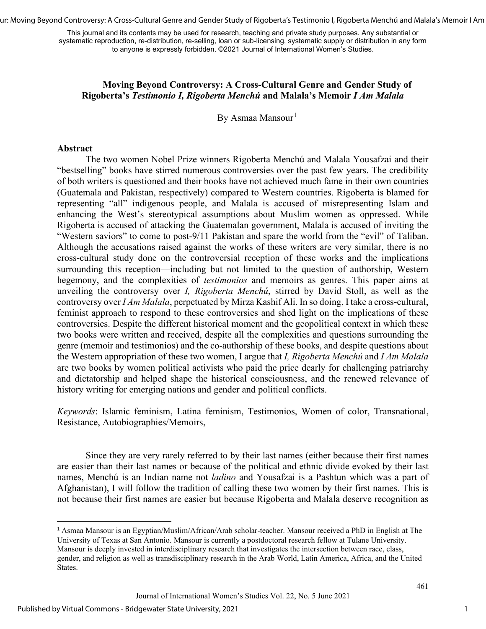ur: Moving Beyond Controversy: A Cross-Cultural Genre and Gender Study of Rigoberta's Testimonio I, Rigoberta Menchú and Malala's Memoir I Am

This journal and its contents may be used for research, teaching and private study purposes. Any substantial or systematic reproduction, re-distribution, re-selling, loan or sub-licensing, systematic supply or distribution in any form to anyone is expressly forbidden. ©2021 Journal of International Women's Studies.

### **Moving Beyond Controversy: A Cross-Cultural Genre and Gender Study of Rigoberta's** *Testimonio I, Rigoberta Menchú* **and Malala's Memoir** *I Am Malala*

By Asmaa Mansour<sup>[1](#page-1-0)</sup>

#### **Abstract**

The two women Nobel Prize winners Rigoberta Menchú and Malala Yousafzai and their "bestselling" books have stirred numerous controversies over the past few years. The credibility of both writers is questioned and their books have not achieved much fame in their own countries (Guatemala and Pakistan, respectively) compared to Western countries. Rigoberta is blamed for representing "all" indigenous people, and Malala is accused of misrepresenting Islam and enhancing the West's stereotypical assumptions about Muslim women as oppressed. While Rigoberta is accused of attacking the Guatemalan government, Malala is accused of inviting the "Western saviors" to come to post-9/11 Pakistan and spare the world from the "evil" of Taliban. Although the accusations raised against the works of these writers are very similar, there is no cross-cultural study done on the controversial reception of these works and the implications surrounding this reception—including but not limited to the question of authorship, Western hegemony, and the complexities of *testimonios* and memoirs as genres. This paper aims at unveiling the controversy over *I, Rigoberta Menchú*, stirred by David Stoll, as well as the controversy over *I Am Malala*, perpetuated by Mirza Kashif Ali. In so doing, I take a cross-cultural, feminist approach to respond to these controversies and shed light on the implications of these controversies. Despite the different historical moment and the geopolitical context in which these two books were written and received, despite all the complexities and questions surrounding the genre (memoir and testimonios) and the co-authorship of these books, and despite questions about the Western appropriation of these two women, I argue that *I, Rigoberta Menchú* and *I Am Malala*  are two books by women political activists who paid the price dearly for challenging patriarchy and dictatorship and helped shape the historical consciousness, and the renewed relevance of history writing for emerging nations and gender and political conflicts.

*Keywords*: Islamic feminism, Latina feminism, Testimonios, Women of color, Transnational, Resistance, Autobiographies/Memoirs,

Since they are very rarely referred to by their last names (either because their first names are easier than their last names or because of the political and ethnic divide evoked by their last names, Menchú is an Indian name not *ladino* and Yousafzai is a Pashtun which was a part of Afghanistan), I will follow the tradition of calling these two women by their first names. This is not because their first names are easier but because Rigoberta and Malala deserve recognition as

<span id="page-1-0"></span><sup>1</sup> Asmaa Mansour is an Egyptian/Muslim/African/Arab scholar-teacher. Mansour received a PhD in English at The University of Texas at San Antonio. Mansour is currently a postdoctoral research fellow at Tulane University. Mansour is deeply invested in interdisciplinary research that investigates the intersection between race, class, gender, and religion as well as transdisciplinary research in the Arab World, Latin America, Africa, and the United States.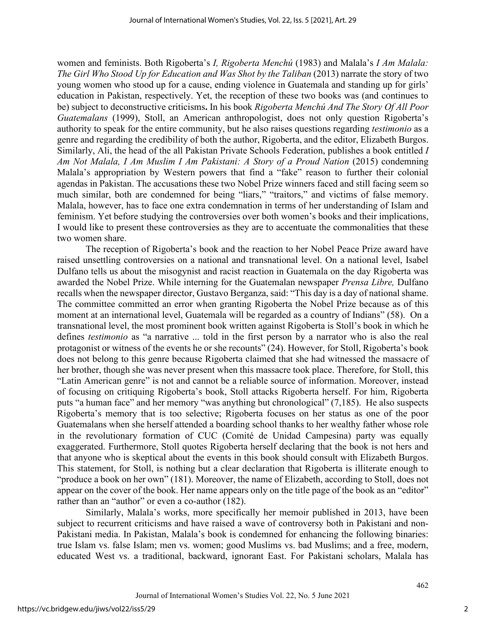women and feminists. Both Rigoberta's *I, Rigoberta Menchú* (1983) and Malala's *I Am Malala: The Girl Who Stood Up for Education and Was Shot by the Taliban* (2013) narrate the story of two young women who stood up for a cause, ending violence in Guatemala and standing up for girls' education in Pakistan, respectively. Yet, the reception of these two books was (and continues to be) subject to deconstructive criticisms**.** In his book *Rigoberta Menchú And The Story Of All Poor Guatemalans* (1999), Stoll, an American anthropologist, does not only question Rigoberta's authority to speak for the entire community, but he also raises questions regarding *testimonio* as a genre and regarding the credibility of both the author, Rigoberta, and the editor, Elizabeth Burgos. Similarly, Ali, the head of the all Pakistan Private Schools Federation, publishes a book entitled *I Am Not Malala, I Am Muslim I Am Pakistani: A Story of a Proud Nation* (2015) condemning Malala's appropriation by Western powers that find a "fake" reason to further their colonial agendas in Pakistan. The accusations these two Nobel Prize winners faced and still facing seem so much similar, both are condemned for being "liars," "traitors," and victims of false memory. Malala, however, has to face one extra condemnation in terms of her understanding of Islam and feminism. Yet before studying the controversies over both women's books and their implications, I would like to present these controversies as they are to accentuate the commonalities that these two women share.

The reception of Rigoberta's book and the reaction to her Nobel Peace Prize award have raised unsettling controversies on a national and transnational level. On a national level, Isabel Dulfano tells us about the misogynist and racist reaction in Guatemala on the day Rigoberta was awarded the Nobel Prize. While interning for the Guatemalan newspaper *Prensa Libre,* Dulfano recalls when the newspaper director, Gustavo Berganza, said: "This day is a day of national shame. The committee committed an error when granting Rigoberta the Nobel Prize because as of this moment at an international level, Guatemala will be regarded as a country of Indians" (58). On a transnational level, the most prominent book written against Rigoberta is Stoll's book in which he defines *testimonio* as "a narrative ... told in the first person by a narrator who is also the real protagonist or witness of the events he or she recounts" (24). However, for Stoll, Rigoberta's book does not belong to this genre because Rigoberta claimed that she had witnessed the massacre of her brother, though she was never present when this massacre took place. Therefore, for Stoll, this "Latin American genre" is not and cannot be a reliable source of information. Moreover, instead of focusing on critiquing Rigoberta's book, Stoll attacks Rigoberta herself. For him, Rigoberta puts "a human face" and her memory "was anything but chronological" (7,185). He also suspects Rigoberta's memory that is too selective; Rigoberta focuses on her status as one of the poor Guatemalans when she herself attended a boarding school thanks to her wealthy father whose role in the revolutionary formation of CUC (Comité de Unidad Campesina) party was equally exaggerated. Furthermore, Stoll quotes Rigoberta herself declaring that the book is not hers and that anyone who is skeptical about the events in this book should consult with Elizabeth Burgos. This statement, for Stoll, is nothing but a clear declaration that Rigoberta is illiterate enough to "produce a book on her own" (181). Moreover, the name of Elizabeth, according to Stoll, does not appear on the cover of the book. Her name appears only on the title page of the book as an "editor" rather than an "author" or even a co-author (182).

Similarly, Malala's works, more specifically her memoir published in 2013, have been subject to recurrent criticisms and have raised a wave of controversy both in Pakistani and non-Pakistani media. In Pakistan, Malala's book is condemned for enhancing the following binaries: true Islam vs. false Islam; men vs. women; good Muslims vs. bad Muslims; and a free, modern, educated West vs. a traditional, backward, ignorant East. For Pakistani scholars, Malala has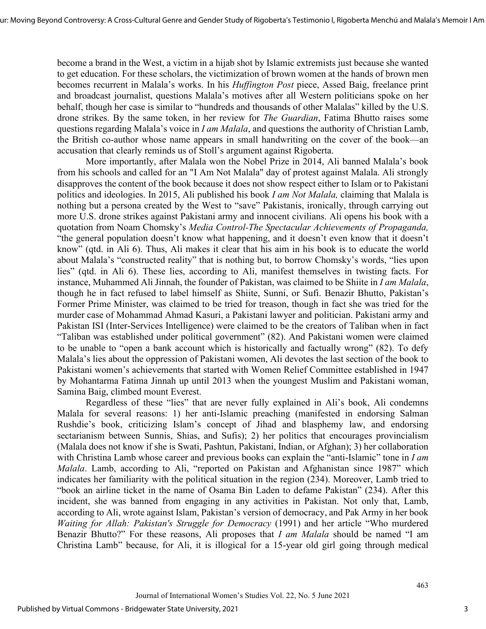become a brand in the West, a victim in a hijab shot by Islamic extremists just because she wanted to get education. For these scholars, the victimization of brown women at the hands of brown men becomes recurrent in Malala's works. In his *Huffington Post* piece, Assed Baig, freelance print and broadcast journalist, questions Malala's motives after all Western politicians spoke on her behalf, though her case is similar to "hundreds and thousands of other Malalas" killed by the U.S. drone strikes. By the same token, in her review for *The Guardian*, Fatima Bhutto raises some questions regarding Malala's voice in *I am Malala*, and questions the authority of Christian Lamb, the British co-author whose name appears in small handwriting on the cover of the book—an accusation that clearly reminds us of Stoll's argument against Rigoberta.

More importantly, after Malala won the Nobel Prize in 2014, Ali banned Malala's book from his schools and called for an "I Am Not Malala" day of protest against Malala. Ali strongly disapproves the content of the book because it does not show respect either to Islam or to Pakistani politics and ideologies. In 2015, Ali published his book *I am Not Malala,* claiming that Malala is nothing but a persona created by the West to "save" Pakistanis, ironically, through carrying out more U.S. drone strikes against Pakistani army and innocent civilians. Ali opens his book with a quotation from Noam Chomsky's *Media Control-The Spectacular Achievements of Propaganda,* "the general population doesn't know what happening, and it doesn't even know that it doesn't know" (qtd. in Ali 6). Thus, Ali makes it clear that his aim in his book is to educate the world about Malala's "constructed reality" that is nothing but, to borrow Chomsky's words, "lies upon lies" (qtd. in Ali 6). These lies, according to Ali, manifest themselves in twisting facts. For instance, Muhammed Ali Jinnah, the founder of Pakistan, was claimed to be Shiite in *I am Malala*, though he in fact refused to label himself as Shiite, Sunni, or Sufi. Benazir Bhutto, Pakistan's Former Prime Minister, was claimed to be tried for treason, though in fact she was tried for the murder case of Mohammad Ahmad Kasuri, a Pakistani lawyer and politician. Pakistani army and Pakistan ISI (Inter-Services Intelligence) were claimed to be the creators of Taliban when in fact "Taliban was established under political government" (82). And Pakistani women were claimed to be unable to "open a bank account which is historically and factually wrong" (82). To defy Malala's lies about the oppression of Pakistani women, Ali devotes the last section of the book to Pakistani women's achievements that started with Women Relief Committee established in 1947 by Mohantarma Fatima Jinnah up until 2013 when the youngest Muslim and Pakistani woman, Samina Baig, climbed mount Everest.

Regardless of these "lies" that are never fully explained in Ali's book, Ali condemns Malala for several reasons: 1) her anti-Islamic preaching (manifested in endorsing Salman Rushdie's book, criticizing Islam's concept of Jihad and blasphemy law, and endorsing sectarianism between Sunnis, Shias, and Sufis); 2) her politics that encourages provincialism (Malala does not know if she is Swati, Pashtun, Pakistani, Indian, or Afghan); 3) her collaboration with Christina Lamb whose career and previous books can explain the "anti-Islamic" tone in *I am Malala*. Lamb, according to Ali, "reported on Pakistan and Afghanistan since 1987" which indicates her familiarity with the political situation in the region (234). Moreover, Lamb tried to "book an airline ticket in the name of Osama Bin Laden to defame Pakistan" (234). After this incident, she was banned from engaging in any activities in Pakistan. Not only that, Lamb, according to Ali, wrote against Islam, Pakistan's version of democracy, and Pak Army in her book *Waiting for Allah: Pakistan's Struggle for Democracy* (1991) and her article "Who murdered Benazir Bhutto?" For these reasons, Ali proposes that *I am Malala* should be named "I am Christina Lamb" because, for Ali, it is illogical for a 15-year old girl going through medical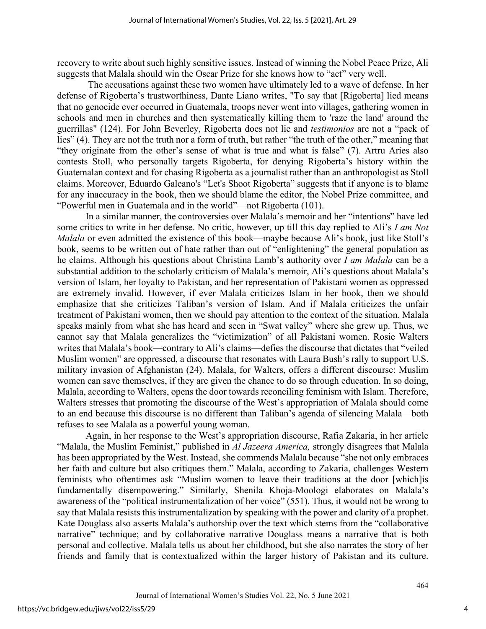recovery to write about such highly sensitive issues. Instead of winning the Nobel Peace Prize, Ali suggests that Malala should win the Oscar Prize for she knows how to "act" very well.

 The accusations against these two women have ultimately led to a wave of defense. In her defense of Rigoberta's trustworthiness, Dante Liano writes, "To say that [Rigoberta] lied means that no genocide ever occurred in Guatemala, troops never went into villages, gathering women in schools and men in churches and then systematically killing them to 'raze the land' around the guerrillas" (124). For John Beverley, Rigoberta does not lie and *testimonios* are not a "pack of lies" (4). They are not the truth nor a form of truth, but rather "the truth of the other," meaning that "they originate from the other's sense of what is true and what is false" (7). Artru Aries also contests Stoll, who personally targets Rigoberta, for denying Rigoberta's history within the Guatemalan context and for chasing Rigoberta as a journalist rather than an anthropologist as Stoll claims. Moreover, Eduardo Galeano's "Let's Shoot Rigoberta" suggests that if anyone is to blame for any inaccuracy in the book, then we should blame the editor, the Nobel Prize committee, and "Powerful men in Guatemala and in the world"—not Rigoberta (101).

In a similar manner, the controversies over Malala's memoir and her "intentions" have led some critics to write in her defense. No critic, however, up till this day replied to Ali's *I am Not Malala* or even admitted the existence of this book—maybe because Ali's book, just like Stoll's book, seems to be written out of hate rather than out of "enlightening" the general population as he claims. Although his questions about Christina Lamb's authority over *I am Malala* can be a substantial addition to the scholarly criticism of Malala's memoir, Ali's questions about Malala's version of Islam, her loyalty to Pakistan, and her representation of Pakistani women as oppressed are extremely invalid. However, if ever Malala criticizes Islam in her book, then we should emphasize that she criticizes Taliban's version of Islam. And if Malala criticizes the unfair treatment of Pakistani women, then we should pay attention to the context of the situation. Malala speaks mainly from what she has heard and seen in "Swat valley" where she grew up. Thus, we cannot say that Malala generalizes the "victimization" of all Pakistani women. Rosie Walters writes that Malala's book—contrary to Ali's claims—defies the discourse that dictates that "veiled Muslim women" are oppressed, a discourse that resonates with Laura Bush's rally to support U.S. military invasion of Afghanistan (24). Malala, for Walters, offers a different discourse: Muslim women can save themselves, if they are given the chance to do so through education. In so doing, Malala, according to Walters, opens the door towards reconciling feminism with Islam. Therefore, Walters stresses that promoting the discourse of the West's appropriation of Malala should come to an end because this discourse is no different than Taliban's agenda of silencing Malala—both refuses to see Malala as a powerful young woman.

Again, in her response to the West's appropriation discourse, Rafia Zakaria, in her article "Malala, the Muslim Feminist," published in *Al Jazeera America,* strongly disagrees that Malala has been appropriated by the West. Instead, she commends Malala because "she not only embraces her faith and culture but also critiques them." Malala, according to Zakaria, challenges Western feminists who oftentimes ask "Muslim women to leave their traditions at the door [which]is fundamentally disempowering." Similarly, Shenila Khoja-Moologi elaborates on Malala's awareness of the "political instrumentalization of her voice" (551). Thus, it would not be wrong to say that Malala resists this instrumentalization by speaking with the power and clarity of a prophet. Kate Douglass also asserts Malala's authorship over the text which stems from the "collaborative narrative" technique; and by collaborative narrative Douglass means a narrative that is both personal and collective. Malala tells us about her childhood, but she also narrates the story of her friends and family that is contextualized within the larger history of Pakistan and its culture.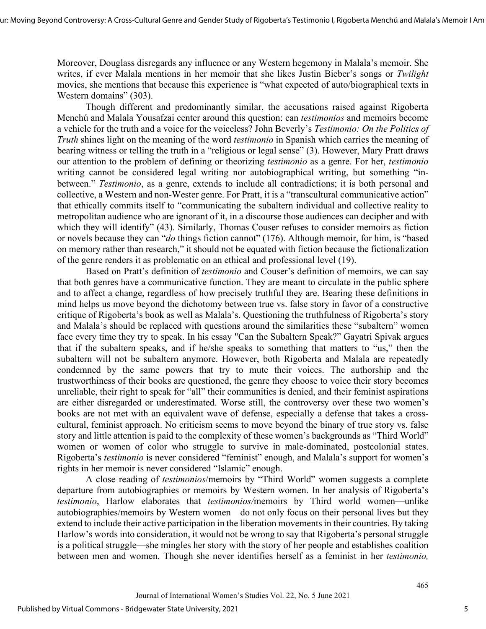Moreover, Douglass disregards any influence or any Western hegemony in Malala's memoir. She writes, if ever Malala mentions in her memoir that she likes Justin Bieber's songs or *Twilight* movies, she mentions that because this experience is "what expected of auto/biographical texts in Western domains" (303).

Though different and predominantly similar, the accusations raised against Rigoberta Menchú and Malala Yousafzai center around this question: can *testimonios* and memoirs become a vehicle for the truth and a voice for the voiceless? John Beverly's *Testimonio: On the Politics of Truth* shines light on the meaning of the word *testimonio* in Spanish which carries the meaning of bearing witness or telling the truth in a "religious or legal sense" (3). However, Mary Pratt draws our attention to the problem of defining or theorizing *testimonio* as a genre. For her, *testimonio* writing cannot be considered legal writing nor autobiographical writing, but something "inbetween." *Testimonio*, as a genre, extends to include all contradictions; it is both personal and collective, a Western and non-Wester genre. For Pratt, it is a "transcultural communicative action" that ethically commits itself to "communicating the subaltern individual and collective reality to metropolitan audience who are ignorant of it, in a discourse those audiences can decipher and with which they will identify" (43). Similarly, Thomas Couser refuses to consider memoirs as fiction or novels because they can "*do* things fiction cannot" (176). Although memoir, for him, is "based on memory rather than research," it should not be equated with fiction because the fictionalization of the genre renders it as problematic on an ethical and professional level (19).

Based on Pratt's definition of *testimonio* and Couser's definition of memoirs, we can say that both genres have a communicative function. They are meant to circulate in the public sphere and to affect a change, regardless of how precisely truthful they are. Bearing these definitions in mind helps us move beyond the dichotomy between true vs. false story in favor of a constructive critique of Rigoberta's book as well as Malala's. Questioning the truthfulness of Rigoberta's story and Malala's should be replaced with questions around the similarities these "subaltern" women face every time they try to speak. In his essay "Can the Subaltern Speak?" Gayatri Spivak argues that if the subaltern speaks, and if he/she speaks to something that matters to "us," then the subaltern will not be subaltern anymore. However, both Rigoberta and Malala are repeatedly condemned by the same powers that try to mute their voices. The authorship and the trustworthiness of their books are questioned, the genre they choose to voice their story becomes unreliable, their right to speak for "all" their communities is denied, and their feminist aspirations are either disregarded or underestimated. Worse still, the controversy over these two women's books are not met with an equivalent wave of defense, especially a defense that takes a crosscultural, feminist approach. No criticism seems to move beyond the binary of true story vs. false story and little attention is paid to the complexity of these women's backgrounds as "Third World" women or women of color who struggle to survive in male-dominated, postcolonial states. Rigoberta's *testimonio* is never considered "feminist" enough, and Malala's support for women's rights in her memoir is never considered "Islamic" enough.

A close reading of *testimonios*/memoirs by "Third World" women suggests a complete departure from autobiographies or memoirs by Western women. In her analysis of Rigoberta's *testimonio*, Harlow elaborates that *testimonios/*memoirs by Third world women—unlike autobiographies/memoirs by Western women—do not only focus on their personal lives but they extend to include their active participation in the liberation movements in their countries. By taking Harlow's words into consideration, it would not be wrong to say that Rigoberta's personal struggle is a political struggle—she mingles her story with the story of her people and establishes coalition between men and women. Though she never identifies herself as a feminist in her *testimonio,* 

5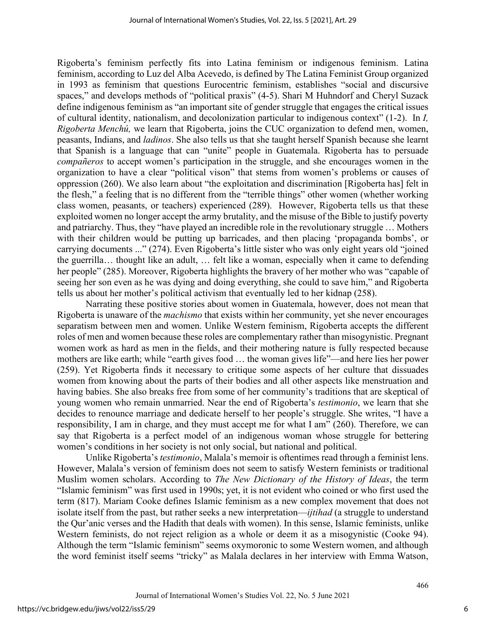Rigoberta's feminism perfectly fits into Latina feminism or indigenous feminism. Latina feminism, according to Luz del Alba Acevedo, is defined by The Latina Feminist Group organized in 1993 as feminism that questions Eurocentric feminism, establishes "social and discursive spaces," and develops methods of "political praxis" (4-5). Shari M Huhndorf and Cheryl Suzack define indigenous feminism as "an important site of gender struggle that engages the critical issues of cultural identity, nationalism, and decolonization particular to indigenous context" (1-2). In *I, Rigoberta Menchú,* we learn that Rigoberta, joins the CUC organization to defend men, women, peasants, Indians, and *ladinos*. She also tells us that she taught herself Spanish because she learnt that Spanish is a language that can "unite" people in Guatemala. Rigoberta has to persuade *compañeros* to accept women's participation in the struggle, and she encourages women in the organization to have a clear "political vison" that stems from women's problems or causes of oppression (260). We also learn about "the exploitation and discrimination [Rigoberta has] felt in the flesh," a feeling that is no different from the "terrible things" other women (whether working class women, peasants, or teachers) experienced (289). However, Rigoberta tells us that these exploited women no longer accept the army brutality, and the misuse of the Bible to justify poverty and patriarchy. Thus, they "have played an incredible role in the revolutionary struggle … Mothers with their children would be putting up barricades, and then placing 'propaganda bombs', or carrying documents ..." (274). Even Rigoberta's little sister who was only eight years old "joined the guerrilla… thought like an adult, … felt like a woman, especially when it came to defending her people" (285). Moreover, Rigoberta highlights the bravery of her mother who was "capable of seeing her son even as he was dying and doing everything, she could to save him," and Rigoberta tells us about her mother's political activism that eventually led to her kidnap (258).

Narrating these positive stories about women in Guatemala, however, does not mean that Rigoberta is unaware of the *machismo* that exists within her community, yet she never encourages separatism between men and women. Unlike Western feminism, Rigoberta accepts the different roles of men and women because these roles are complementary rather than misogynistic. Pregnant women work as hard as men in the fields, and their mothering nature is fully respected because mothers are like earth; while "earth gives food … the woman gives life"—and here lies her power (259). Yet Rigoberta finds it necessary to critique some aspects of her culture that dissuades women from knowing about the parts of their bodies and all other aspects like menstruation and having babies. She also breaks free from some of her community's traditions that are skeptical of young women who remain unmarried. Near the end of Rigoberta's *testimonio*, we learn that she decides to renounce marriage and dedicate herself to her people's struggle. She writes, "I have a responsibility, I am in charge, and they must accept me for what I am" (260). Therefore, we can say that Rigoberta is a perfect model of an indigenous woman whose struggle for bettering women's conditions in her society is not only social, but national and political.

Unlike Rigoberta's *testimonio*, Malala's memoir is oftentimes read through a feminist lens. However, Malala's version of feminism does not seem to satisfy Western feminists or traditional Muslim women scholars. According to *The New Dictionary of the History of Ideas*, the term "Islamic feminism" was first used in 1990s; yet, it is not evident who coined or who first used the term (817). Mariam Cooke defines Islamic feminism as a new complex movement that does not isolate itself from the past, but rather seeks a new interpretation—*ijtihad* (a struggle to understand the Qur'anic verses and the Hadith that deals with women). In this sense, Islamic feminists, unlike Western feminists, do not reject religion as a whole or deem it as a misogynistic (Cooke 94). Although the term "Islamic feminism" seems oxymoronic to some Western women, and although the word feminist itself seems "tricky" as Malala declares in her interview with Emma Watson,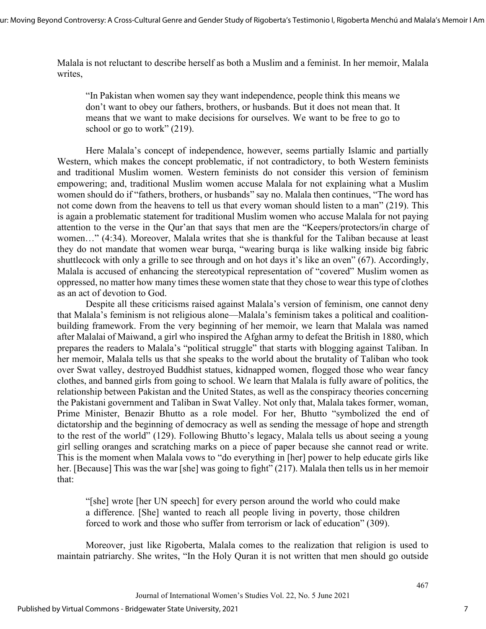Malala is not reluctant to describe herself as both a Muslim and a feminist. In her memoir, Malala writes,

"In Pakistan when women say they want independence, people think this means we don't want to obey our fathers, brothers, or husbands. But it does not mean that. It means that we want to make decisions for ourselves. We want to be free to go to school or go to work" (219).

Here Malala's concept of independence, however, seems partially Islamic and partially Western, which makes the concept problematic, if not contradictory, to both Western feminists and traditional Muslim women. Western feminists do not consider this version of feminism empowering; and, traditional Muslim women accuse Malala for not explaining what a Muslim women should do if "fathers, brothers, or husbands" say no. Malala then continues, "The word has not come down from the heavens to tell us that every woman should listen to a man" (219). This is again a problematic statement for traditional Muslim women who accuse Malala for not paying attention to the verse in the Qur'an that says that men are the "Keepers/protectors/in charge of women…" (4:34). Moreover, Malala writes that she is thankful for the Taliban because at least they do not mandate that women wear burqa, "wearing burqa is like walking inside big fabric shuttlecock with only a grille to see through and on hot days it's like an oven" (67). Accordingly, Malala is accused of enhancing the stereotypical representation of "covered" Muslim women as oppressed, no matter how many times these women state that they chose to wear this type of clothes as an act of devotion to God.

Despite all these criticisms raised against Malala's version of feminism, one cannot deny that Malala's feminism is not religious alone—Malala's feminism takes a political and coalitionbuilding framework. From the very beginning of her memoir, we learn that Malala was named after Malalai of Maiwand, a girl who inspired the Afghan army to defeat the British in 1880, which prepares the readers to Malala's "political struggle" that starts with blogging against Taliban. In her memoir, Malala tells us that she speaks to the world about the brutality of Taliban who took over Swat valley, destroyed Buddhist statues, kidnapped women, flogged those who wear fancy clothes, and banned girls from going to school. We learn that Malala is fully aware of politics, the relationship between Pakistan and the United States, as well as the conspiracy theories concerning the Pakistani government and Taliban in Swat Valley. Not only that, Malala takes former, woman, Prime Minister, Benazir Bhutto as a role model. For her, Bhutto "symbolized the end of dictatorship and the beginning of democracy as well as sending the message of hope and strength to the rest of the world" (129). Following Bhutto's legacy, Malala tells us about seeing a young girl selling oranges and scratching marks on a piece of paper because she cannot read or write. This is the moment when Malala vows to "do everything in [her] power to help educate girls like her. [Because] This was the war [she] was going to fight" (217). Malala then tells us in her memoir that:

"[she] wrote [her UN speech] for every person around the world who could make a difference. [She] wanted to reach all people living in poverty, those children forced to work and those who suffer from terrorism or lack of education" (309).

Moreover, just like Rigoberta, Malala comes to the realization that religion is used to maintain patriarchy. She writes, "In the Holy Quran it is not written that men should go outside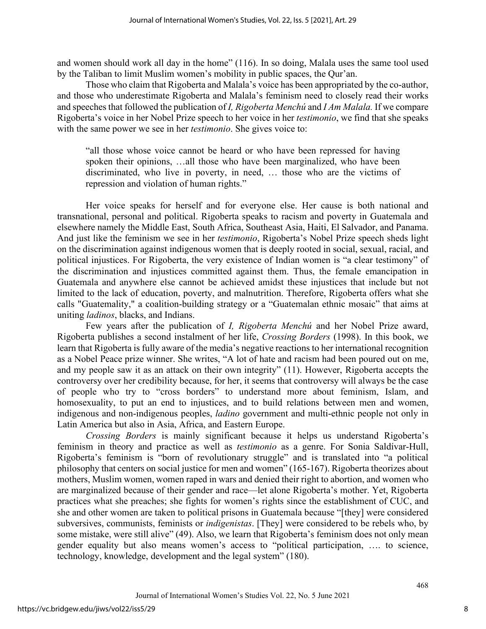and women should work all day in the home" (116). In so doing, Malala uses the same tool used by the Taliban to limit Muslim women's mobility in public spaces, the Qur'an.

Those who claim that Rigoberta and Malala's voice has been appropriated by the co-author, and those who underestimate Rigoberta and Malala's feminism need to closely read their works and speeches that followed the publication of *I, Rigoberta Menchú* and *I Am Malala*. If we compare Rigoberta's voice in her Nobel Prize speech to her voice in her *testimonio*, we find that she speaks with the same power we see in her *testimonio*. She gives voice to:

"all those whose voice cannot be heard or who have been repressed for having spoken their opinions, …all those who have been marginalized, who have been discriminated, who live in poverty, in need, … those who are the victims of repression and violation of human rights."

Her voice speaks for herself and for everyone else. Her cause is both national and transnational, personal and political. Rigoberta speaks to racism and poverty in Guatemala and elsewhere namely the Middle East, South Africa, Southeast Asia, Haiti, El Salvador, and Panama. And just like the feminism we see in her *testimonio*, Rigoberta's Nobel Prize speech sheds light on the discrimination against indigenous women that is deeply rooted in social, sexual, racial, and political injustices. For Rigoberta, the very existence of Indian women is "a clear testimony" of the discrimination and injustices committed against them. Thus, the female emancipation in Guatemala and anywhere else cannot be achieved amidst these injustices that include but not limited to the lack of education, poverty, and malnutrition. Therefore, Rigoberta offers what she calls "Guatemality," a coalition-building strategy or a "Guatemalan ethnic mosaic" that aims at uniting *ladinos*, blacks, and Indians.

Few years after the publication of *I, Rigoberta Menchú* and her Nobel Prize award, Rigoberta publishes a second instalment of her life, *Crossing Borders* (1998). In this book, we learn that Rigoberta is fully aware of the media's negative reactions to her international recognition as a Nobel Peace prize winner. She writes, "A lot of hate and racism had been poured out on me, and my people saw it as an attack on their own integrity" (11). However, Rigoberta accepts the controversy over her credibility because, for her, it seems that controversy will always be the case of people who try to "cross borders" to understand more about feminism, Islam, and homosexuality, to put an end to injustices, and to build relations between men and women, indigenous and non-indigenous peoples, *ladino* government and multi-ethnic people not only in Latin America but also in Asia, Africa, and Eastern Europe.

*Crossing Borders* is mainly significant because it helps us understand Rigoberta's feminism in theory and practice as well as *testimonio* as a genre. For Sonia Saldívar-Hull, Rigoberta's feminism is "born of revolutionary struggle" and is translated into "a political philosophy that centers on social justice for men and women" (165-167). Rigoberta theorizes about mothers, Muslim women, women raped in wars and denied their right to abortion, and women who are marginalized because of their gender and race—let alone Rigoberta's mother. Yet, Rigoberta practices what she preaches; she fights for women's rights since the establishment of CUC, and she and other women are taken to political prisons in Guatemala because "[they] were considered subversives, communists, feminists or *indigenistas*. [They] were considered to be rebels who, by some mistake, were still alive" (49). Also, we learn that Rigoberta's feminism does not only mean gender equality but also means women's access to "political participation, …. to science, technology, knowledge, development and the legal system" (180).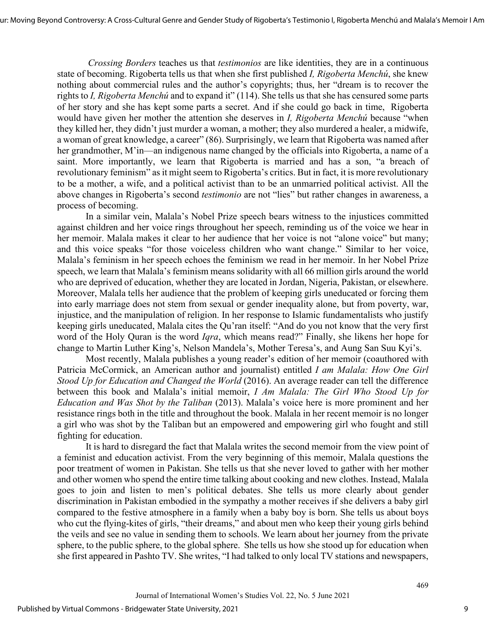*Crossing Borders* teaches us that *testimonios* are like identities, they are in a continuous state of becoming. Rigoberta tells us that when she first published *I, Rigoberta Menchú*, she knew nothing about commercial rules and the author's copyrights; thus, her "dream is to recover the rights to *I, Rigoberta Menchú* and to expand it" (114). She tells us that she has censured some parts of her story and she has kept some parts a secret. And if she could go back in time, Rigoberta would have given her mother the attention she deserves in *I, Rigoberta Menchú* because "when they killed her, they didn't just murder a woman, a mother; they also murdered a healer, a midwife, a woman of great knowledge, a career" (86). Surprisingly, we learn that Rigoberta was named after her grandmother, M'in—an indigenous name changed by the officials into Rigoberta, a name of a saint. More importantly, we learn that Rigoberta is married and has a son, "a breach of revolutionary feminism" as it might seem to Rigoberta's critics. But in fact, it is more revolutionary to be a mother, a wife, and a political activist than to be an unmarried political activist. All the above changes in Rigoberta's second *testimonio* are not "lies" but rather changes in awareness, a process of becoming.

In a similar vein, Malala's Nobel Prize speech bears witness to the injustices committed against children and her voice rings throughout her speech, reminding us of the voice we hear in her memoir. Malala makes it clear to her audience that her voice is not "alone voice" but many; and this voice speaks "for those voiceless children who want change." Similar to her voice, Malala's feminism in her speech echoes the feminism we read in her memoir. In her Nobel Prize speech, we learn that Malala's feminism means solidarity with all 66 million girls around the world who are deprived of education, whether they are located in Jordan, Nigeria, Pakistan, or elsewhere. Moreover, Malala tells her audience that the problem of keeping girls uneducated or forcing them into early marriage does not stem from sexual or gender inequality alone, but from poverty, war, injustice, and the manipulation of religion. In her response to Islamic fundamentalists who justify keeping girls uneducated, Malala cites the Qu'ran itself: "And do you not know that the very first word of the Holy Quran is the word *Iqra*, which means read?" Finally, she likens her hope for change to Martin Luther King's, Nelson Mandela's, Mother Teresa's, and Aung San Suu Kyi's.

Most recently, Malala publishes a young reader's edition of her memoir (coauthored with Patricia McCormick, an American author and journalist) entitled *I am Malala: How One Girl Stood Up for Education and Changed the World* (2016). An average reader can tell the difference between this book and Malala's initial memoir, *I Am Malala: The Girl Who Stood Up for Education and Was Shot by the Taliban* (2013). Malala's voice here is more prominent and her resistance rings both in the title and throughout the book. Malala in her recent memoir is no longer a girl who was shot by the Taliban but an empowered and empowering girl who fought and still fighting for education.

It is hard to disregard the fact that Malala writes the second memoir from the view point of a feminist and education activist. From the very beginning of this memoir, Malala questions the poor treatment of women in Pakistan. She tells us that she never loved to gather with her mother and other women who spend the entire time talking about cooking and new clothes. Instead, Malala goes to join and listen to men's political debates. She tells us more clearly about gender discrimination in Pakistan embodied in the sympathy a mother receives if she delivers a baby girl compared to the festive atmosphere in a family when a baby boy is born. She tells us about boys who cut the flying-kites of girls, "their dreams," and about men who keep their young girls behind the veils and see no value in sending them to schools. We learn about her journey from the private sphere, to the public sphere, to the global sphere. She tells us how she stood up for education when she first appeared in Pashto TV. She writes, "I had talked to only local TV stations and newspapers,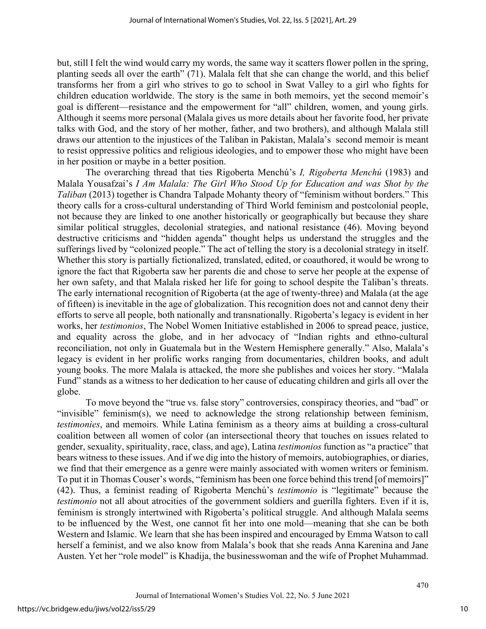but, still I felt the wind would carry my words, the same way it scatters flower pollen in the spring, planting seeds all over the earth" (71). Malala felt that she can change the world, and this belief transforms her from a girl who strives to go to school in Swat Valley to a girl who fights for children education worldwide. The story is the same in both memoirs, yet the second memoir's goal is different—resistance and the empowerment for "all" children, women, and young girls. Although it seems more personal (Malala gives us more details about her favorite food, her private talks with God, and the story of her mother, father, and two brothers), and although Malala still draws our attention to the injustices of the Taliban in Pakistan, Malala's second memoir is meant to resist oppressive politics and religious ideologies, and to empower those who might have been in her position or maybe in a better position.

The overarching thread that ties Rigoberta Menchú's *I, Rigoberta Menchú* (1983) and Malala Yousafzai's *I Am Malala: The Girl Who Stood Up for Education and was Shot by the Taliban* (2013) together is Chandra Talpade Mohanty theory of "feminism without borders." This theory calls for a cross-cultural understanding of Third World feminism and postcolonial people, not because they are linked to one another historically or geographically but because they share similar political struggles, decolonial strategies, and national resistance (46). Moving beyond destructive criticisms and "hidden agenda" thought helps us understand the struggles and the sufferings lived by "colonized people." The act of telling the story is a decolonial strategy in itself. Whether this story is partially fictionalized, translated, edited, or coauthored, it would be wrong to ignore the fact that Rigoberta saw her parents die and chose to serve her people at the expense of her own safety, and that Malala risked her life for going to school despite the Taliban's threats. The early international recognition of Rigoberta (at the age of twenty-three) and Malala (at the age of fifteen) is inevitable in the age of globalization. This recognition does not and cannot deny their efforts to serve all people, both nationally and transnationally. Rigoberta's legacy is evident in her works, her *testimonios*, The Nobel Women Initiative established in 2006 to spread peace, justice, and equality across the globe, and in her advocacy of "Indian rights and ethno-cultural reconciliation, not only in Guatemala but in the Western Hemisphere generally." Also, Malala's legacy is evident in her prolific works ranging from documentaries, children books, and adult young books. The more Malala is attacked, the more she publishes and voices her story. "Malala Fund" stands as a witness to her dedication to her cause of educating children and girls all over the globe.

To move beyond the "true vs. false story" controversies, conspiracy theories, and "bad" or "invisible" feminism(s), we need to acknowledge the strong relationship between feminism, *testimonies*, and memoirs. While Latina feminism as a theory aims at building a cross-cultural coalition between all women of color (an intersectional theory that touches on issues related to gender, sexuality, spirituality, race, class, and age), Latina *testimonios* function as "a practice" that bears witness to these issues. And if we dig into the history of memoirs, autobiographies, or diaries, we find that their emergence as a genre were mainly associated with women writers or feminism. To put it in Thomas Couser's words, "feminism has been one force behind this trend [of memoirs]" (42). Thus, a feminist reading of Rigoberta Menchú's *testimonio* is "legitimate" because the *testimonio* not all about atrocities of the government soldiers and guerilla fighters. Even if it is, feminism is strongly intertwined with Rigoberta's political struggle. And although Malala seems to be influenced by the West, one cannot fit her into one mold—meaning that she can be both Western and Islamic. We learn that she has been inspired and encouraged by Emma Watson to call herself a feminist, and we also know from Malala's book that she reads Anna Karenina and Jane Austen. Yet her "role model" is Khadija, the businesswoman and the wife of Prophet Muhammad.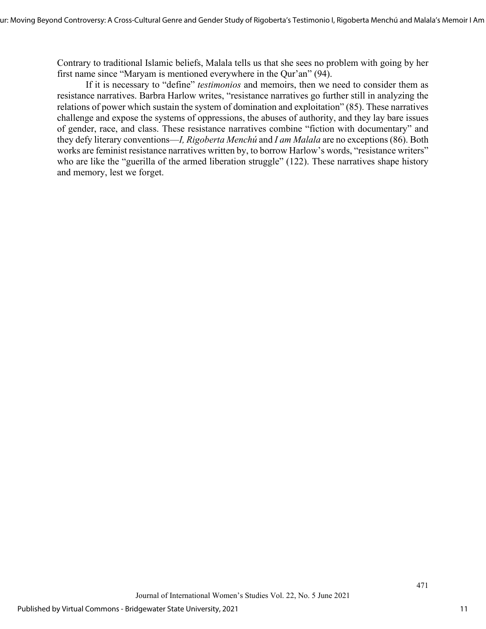Contrary to traditional Islamic beliefs, Malala tells us that she sees no problem with going by her first name since "Maryam is mentioned everywhere in the Qur'an" (94).

If it is necessary to "define" *testimonios* and memoirs, then we need to consider them as resistance narratives. Barbra Harlow writes, "resistance narratives go further still in analyzing the relations of power which sustain the system of domination and exploitation" (85). These narratives challenge and expose the systems of oppressions, the abuses of authority, and they lay bare issues of gender, race, and class. These resistance narratives combine "fiction with documentary" and they defy literary conventions—*I, Rigoberta Menchú* and *I am Malala* are no exceptions (86). Both works are feminist resistance narratives written by, to borrow Harlow's words, "resistance writers" who are like the "guerilla of the armed liberation struggle" (122). These narratives shape history and memory, lest we forget.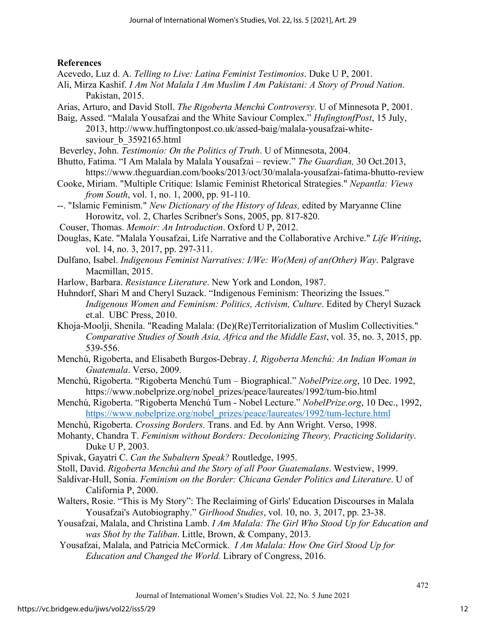## **References**

- Acevedo, Luz d. A. *Telling to Live: Latina Feminist Testimonios*. Duke U P, 2001.
- Ali, Mirza Kashif. *I Am Not Malala I Am Muslim I Am Pakistani: A Story of Proud Nation*. Pakistan, 2015.
- Arias, Arturo, and David Stoll. *The Rigoberta Menchú Controversy*. U of Minnesota P, 2001.
- Baig, Assed. "Malala Yousafzai and the White Saviour Complex." *HufingtonfPost*, 15 July, 2013, [http://www.huffingtonpost.co.uk/assed-baig/malala-yousafzai-white](http://www.huffingtonpost.co.uk/assed-baig/malala-yousafzai-white-saviour_b_3592165.html)saviour b 3592165.html
- Beverley, John. *Testimonio: On the Politics of Truth*. U of Minnesota, 2004.
- Bhutto, Fatima. "I Am Malala by Malala Yousafzai review." *The Guardian,* 30 Oct.2013, <https://www.theguardian.com/books/2013/oct/30/malala-yousafzai-fatima-bhutto-review>
- Cooke, Miriam. "Multiple Critique: Islamic Feminist Rhetorical Strategies." *Nepantla: Views from South*, vol. 1, no. 1, 2000, pp. 91-110.
- --. "Islamic Feminism." *New Dictionary of the History of Ideas,* edited by Maryanne Cline Horowitz, vol. 2, Charles Scribner's Sons, 2005, pp. 817-820.
- Couser, Thomas. *Memoir: An Introduction*. Oxford U P, 2012.
- Douglas, Kate. "Malala Yousafzai, Life Narrative and the Collaborative Archive." *Life Writing*, vol. 14, no. 3, 2017, pp. 297-311.
- Dulfano, Isabel. *Indigenous Feminist Narratives: I/We: Wo(Men) of an(Other) Way*. Palgrave Macmillan, 2015.
- Harlow, Barbara. *Resistance Literature*. New York and London, 1987.
- Huhndorf, Shari M and Cheryl Suzack. "Indigenous Feminism: Theorizing the Issues." *Indigenous Women and Feminism: Politics, Activism, Culture*. Edited by Cheryl Suzack et.al. UBC Press, 2010.
- Khoja-Moolji, Shenila. "Reading Malala: (De)(Re)Territorialization of Muslim Collectivities." *Comparative Studies of South Asia, Africa and the Middle East*, vol. 35, no. 3, 2015, pp. 539-556.
- Menchú, Rigoberta, and Elisabeth Burgos-Debray. *I, Rigoberta Menchú: An Indian Woman in Guatemala*. Verso, 2009.
- Menchú, Rigoberta. "Rigoberta Menchú Tum Biographical." *NobelPrize.org*, 10 Dec. 1992, https://www.nobelprize.org/nobel\_prizes/peace/laureates/1992/tum-bio.html
- Menchú, Rigoberta. "Rigoberta Menchú Tum Nobel Lecture." *NobelPrize.org*, 10 Dec., 1992, [https://www.nobelprize.org/nobel\\_prizes/peace/laureates/1992/tum-lecture.html](https://www.nobelprize.org/nobel_prizes/peace/laureates/1992/tum-lecture.html)
- Menchú, Rigoberta. *Crossing Borders.* Trans. and Ed. by Ann Wright. Verso, 1998.
- Mohanty, Chandra T. *Feminism without Borders: Decolonizing Theory, Practicing Solidarity*. Duke U P, 2003.
- Spivak, Gayatri C. *Can the Subaltern Speak?* Routledge, 1995.
- Stoll, David. *Rigoberta Menchú and the Story of all Poor Guatemalans*. Westview, 1999.
- Saldívar-Hull, Sonia. *Feminism on the Border: Chicana Gender Politics and Literature*. U of California P, 2000.
- Walters, Rosie. "This is My Story": The Reclaiming of Girls' Education Discourses in Malala Yousafzai's Autobiography." *Girlhood Studies*, vol. 10, no. 3, 2017, pp. 23-38.
- Yousafzai, Malala, and Christina Lamb. *I Am Malala: The Girl Who Stood Up for Education and was Shot by the Taliban*. Little, Brown, & Company, 2013.
- Yousafzai, Malala, and Patricia McCormick. *I Am Malala: How One Girl Stood Up for Education and Changed the World.* Library of Congress, 2016.